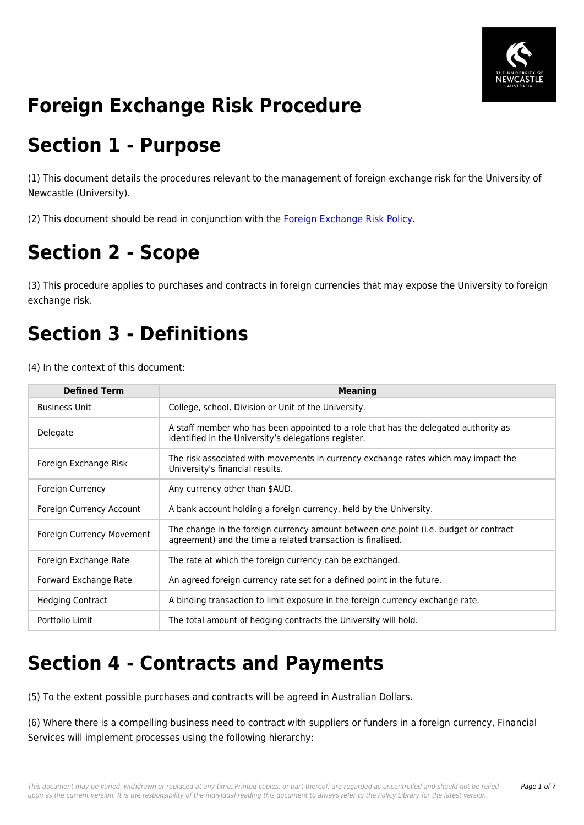

# **Foreign Exchange Risk Procedure**

### **Section 1 - Purpose**

(1) This document details the procedures relevant to the management of foreign exchange risk for the University of Newcastle (University).

(2) This document should be read in conjunction with the [Foreign Exchange Risk Policy.](https://policies.newcastle.edu.au/document/view-current.php?id=323)

# **Section 2 - Scope**

(3) This procedure applies to purchases and contracts in foreign currencies that may expose the University to foreign exchange risk.

### **Section 3 - Definitions**

(4) In the context of this document:

| <b>Defined Term</b>       | <b>Meaning</b>                                                                                                                                      |
|---------------------------|-----------------------------------------------------------------------------------------------------------------------------------------------------|
| <b>Business Unit</b>      | College, school, Division or Unit of the University.                                                                                                |
| Delegate                  | A staff member who has been appointed to a role that has the delegated authority as<br>identified in the University's delegations register.         |
| Foreign Exchange Risk     | The risk associated with movements in currency exchange rates which may impact the<br>University's financial results.                               |
| Foreign Currency          | Any currency other than \$AUD.                                                                                                                      |
| Foreign Currency Account  | A bank account holding a foreign currency, held by the University.                                                                                  |
| Foreign Currency Movement | The change in the foreign currency amount between one point (i.e. budget or contract<br>agreement) and the time a related transaction is finalised. |
| Foreign Exchange Rate     | The rate at which the foreign currency can be exchanged.                                                                                            |
| Forward Exchange Rate     | An agreed foreign currency rate set for a defined point in the future.                                                                              |
| <b>Hedging Contract</b>   | A binding transaction to limit exposure in the foreign currency exchange rate.                                                                      |
| Portfolio Limit           | The total amount of hedging contracts the University will hold.                                                                                     |

### **Section 4 - Contracts and Payments**

(5) To the extent possible purchases and contracts will be agreed in Australian Dollars.

(6) Where there is a compelling business need to contract with suppliers or funders in a foreign currency, Financial Services will implement processes using the following hierarchy: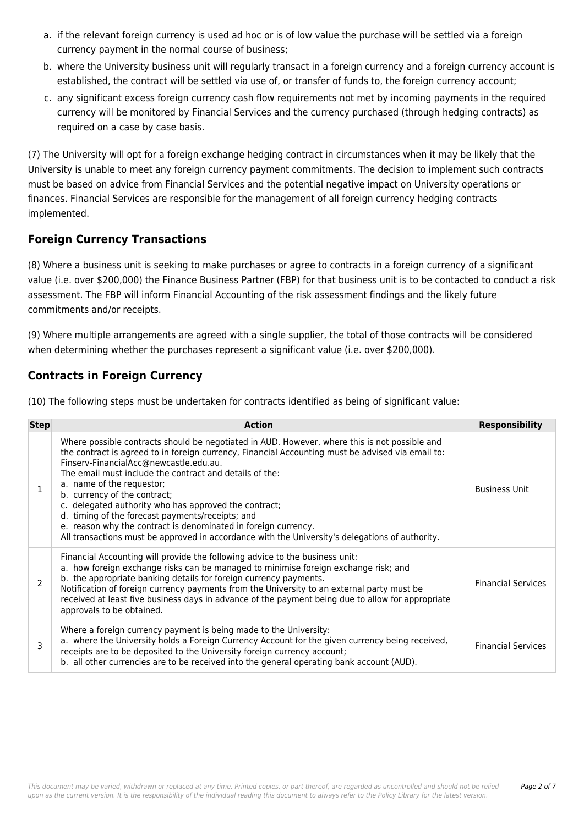- a. if the relevant foreign currency is used ad hoc or is of low value the purchase will be settled via a foreign currency payment in the normal course of business;
- b. where the University business unit will regularly transact in a foreign currency and a foreign currency account is established, the contract will be settled via use of, or transfer of funds to, the foreign currency account;
- c. any significant excess foreign currency cash flow requirements not met by incoming payments in the required currency will be monitored by Financial Services and the currency purchased (through hedging contracts) as required on a case by case basis.

(7) The University will opt for a foreign exchange hedging contract in circumstances when it may be likely that the University is unable to meet any foreign currency payment commitments. The decision to implement such contracts must be based on advice from Financial Services and the potential negative impact on University operations or finances. Financial Services are responsible for the management of all foreign currency hedging contracts implemented.

### **Foreign Currency Transactions**

(8) Where a business unit is seeking to make purchases or agree to contracts in a foreign currency of a significant value (i.e. over \$200,000) the Finance Business Partner (FBP) for that business unit is to be contacted to conduct a risk assessment. The FBP will inform Financial Accounting of the risk assessment findings and the likely future commitments and/or receipts.

(9) Where multiple arrangements are agreed with a single supplier, the total of those contracts will be considered when determining whether the purchases represent a significant value (i.e. over \$200,000).

### **Contracts in Foreign Currency**

(10) The following steps must be undertaken for contracts identified as being of significant value:

| <b>Step</b>   | <b>Action</b>                                                                                                                                                                                                                                                                                                                                                                                                                                                                                                                                                                                                                                          | <b>Responsibility</b>     |
|---------------|--------------------------------------------------------------------------------------------------------------------------------------------------------------------------------------------------------------------------------------------------------------------------------------------------------------------------------------------------------------------------------------------------------------------------------------------------------------------------------------------------------------------------------------------------------------------------------------------------------------------------------------------------------|---------------------------|
|               | Where possible contracts should be negotiated in AUD. However, where this is not possible and<br>the contract is agreed to in foreign currency, Financial Accounting must be advised via email to:<br>Finserv-FinancialAcc@newcastle.edu.au.<br>The email must include the contract and details of the:<br>a. name of the requestor;<br>b. currency of the contract;<br>c. delegated authority who has approved the contract;<br>d. timing of the forecast payments/receipts; and<br>e. reason why the contract is denominated in foreign currency.<br>All transactions must be approved in accordance with the University's delegations of authority. | <b>Business Unit</b>      |
| $\mathcal{P}$ | Financial Accounting will provide the following advice to the business unit:<br>a. how foreign exchange risks can be managed to minimise foreign exchange risk; and<br>b. the appropriate banking details for foreign currency payments.<br>Notification of foreign currency payments from the University to an external party must be<br>received at least five business days in advance of the payment being due to allow for appropriate<br>approvals to be obtained.                                                                                                                                                                               | <b>Financial Services</b> |
| 3             | Where a foreign currency payment is being made to the University:<br>a. where the University holds a Foreign Currency Account for the given currency being received,<br>receipts are to be deposited to the University foreign currency account;<br>b. all other currencies are to be received into the general operating bank account (AUD).                                                                                                                                                                                                                                                                                                          | <b>Financial Services</b> |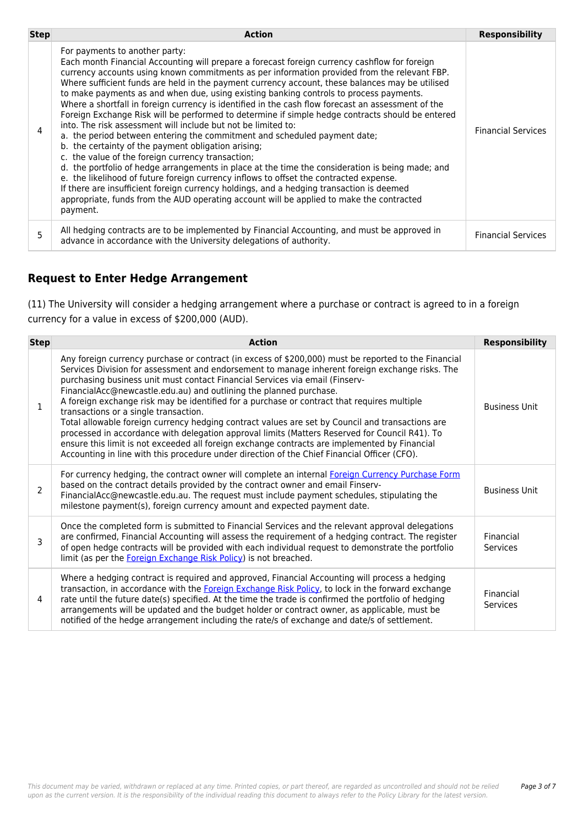| <b>Step</b> | <b>Action</b>                                                                                                                                                                                                                                                                                                                                                                                                                                                                                                                                                                                                                                                                                                                                                                                                                                                                                                                                                                                                                                                                                                                                                                                                                                                                                      | <b>Responsibility</b>     |
|-------------|----------------------------------------------------------------------------------------------------------------------------------------------------------------------------------------------------------------------------------------------------------------------------------------------------------------------------------------------------------------------------------------------------------------------------------------------------------------------------------------------------------------------------------------------------------------------------------------------------------------------------------------------------------------------------------------------------------------------------------------------------------------------------------------------------------------------------------------------------------------------------------------------------------------------------------------------------------------------------------------------------------------------------------------------------------------------------------------------------------------------------------------------------------------------------------------------------------------------------------------------------------------------------------------------------|---------------------------|
|             | For payments to another party:<br>Each month Financial Accounting will prepare a forecast foreign currency cashflow for foreign<br>currency accounts using known commitments as per information provided from the relevant FBP.<br>Where sufficient funds are held in the payment currency account, these balances may be utilised<br>to make payments as and when due, using existing banking controls to process payments.<br>Where a shortfall in foreign currency is identified in the cash flow forecast an assessment of the<br>Foreign Exchange Risk will be performed to determine if simple hedge contracts should be entered<br>into. The risk assessment will include but not be limited to:<br>a. the period between entering the commitment and scheduled payment date;<br>b. the certainty of the payment obligation arising;<br>c. the value of the foreign currency transaction;<br>d. the portfolio of hedge arrangements in place at the time the consideration is being made; and<br>e. the likelihood of future foreign currency inflows to offset the contracted expense.<br>If there are insufficient foreign currency holdings, and a hedging transaction is deemed<br>appropriate, funds from the AUD operating account will be applied to make the contracted<br>payment. | <b>Financial Services</b> |
|             | All hedging contracts are to be implemented by Financial Accounting, and must be approved in<br>advance in accordance with the University delegations of authority.                                                                                                                                                                                                                                                                                                                                                                                                                                                                                                                                                                                                                                                                                                                                                                                                                                                                                                                                                                                                                                                                                                                                | <b>Financial Services</b> |

### **Request to Enter Hedge Arrangement**

(11) The University will consider a hedging arrangement where a purchase or contract is agreed to in a foreign currency for a value in excess of \$200,000 (AUD).

| <b>Step</b> | <b>Action</b>                                                                                                                                                                                                                                                                                                                                                                                                                                                                                                                                                                                                                                                                                                                                                                                                                                                                                                | <b>Responsibility</b>        |
|-------------|--------------------------------------------------------------------------------------------------------------------------------------------------------------------------------------------------------------------------------------------------------------------------------------------------------------------------------------------------------------------------------------------------------------------------------------------------------------------------------------------------------------------------------------------------------------------------------------------------------------------------------------------------------------------------------------------------------------------------------------------------------------------------------------------------------------------------------------------------------------------------------------------------------------|------------------------------|
| 1           | Any foreign currency purchase or contract (in excess of \$200,000) must be reported to the Financial<br>Services Division for assessment and endorsement to manage inherent foreign exchange risks. The<br>purchasing business unit must contact Financial Services via email (Finserv-<br>FinancialAcc@newcastle.edu.au) and outlining the planned purchase.<br>A foreign exchange risk may be identified for a purchase or contract that requires multiple<br>transactions or a single transaction.<br>Total allowable foreign currency hedging contract values are set by Council and transactions are<br>processed in accordance with delegation approval limits (Matters Reserved for Council R41). To<br>ensure this limit is not exceeded all foreign exchange contracts are implemented by Financial<br>Accounting in line with this procedure under direction of the Chief Financial Officer (CFO). | <b>Business Unit</b>         |
| 2           | For currency hedging, the contract owner will complete an internal Foreign Currency Purchase Form<br>based on the contract details provided by the contract owner and email Finserv-<br>FinancialAcc@newcastle.edu.au. The request must include payment schedules, stipulating the<br>milestone payment(s), foreign currency amount and expected payment date.                                                                                                                                                                                                                                                                                                                                                                                                                                                                                                                                               | <b>Business Unit</b>         |
| 3           | Once the completed form is submitted to Financial Services and the relevant approval delegations<br>are confirmed, Financial Accounting will assess the requirement of a hedging contract. The register<br>of open hedge contracts will be provided with each individual request to demonstrate the portfolio<br>limit (as per the Foreign Exchange Risk Policy) is not breached.                                                                                                                                                                                                                                                                                                                                                                                                                                                                                                                            | Financial<br><b>Services</b> |
| 4           | Where a hedging contract is required and approved, Financial Accounting will process a hedging<br>transaction, in accordance with the Foreign Exchange Risk Policy, to lock in the forward exchange<br>rate until the future date(s) specified. At the time the trade is confirmed the portfolio of hedging<br>arrangements will be updated and the budget holder or contract owner, as applicable, must be<br>notified of the hedge arrangement including the rate/s of exchange and date/s of settlement.                                                                                                                                                                                                                                                                                                                                                                                                  | Financial<br>Services        |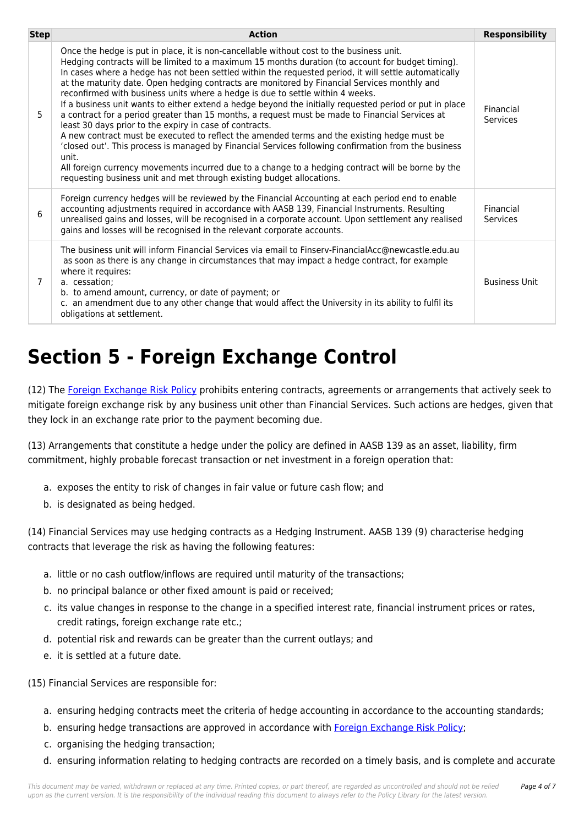| <b>Step</b> | <b>Action</b>                                                                                                                                                                                                                                                                                                                                                                                                                                                                                                                                                                                                                                                                                                                                                                                                                                                                                                                                                                                                                                                                                                                                                    | <b>Responsibility</b> |
|-------------|------------------------------------------------------------------------------------------------------------------------------------------------------------------------------------------------------------------------------------------------------------------------------------------------------------------------------------------------------------------------------------------------------------------------------------------------------------------------------------------------------------------------------------------------------------------------------------------------------------------------------------------------------------------------------------------------------------------------------------------------------------------------------------------------------------------------------------------------------------------------------------------------------------------------------------------------------------------------------------------------------------------------------------------------------------------------------------------------------------------------------------------------------------------|-----------------------|
| 5           | Once the hedge is put in place, it is non-cancellable without cost to the business unit.<br>Hedging contracts will be limited to a maximum 15 months duration (to account for budget timing).<br>In cases where a hedge has not been settled within the requested period, it will settle automatically<br>at the maturity date. Open hedging contracts are monitored by Financial Services monthly and<br>reconfirmed with business units where a hedge is due to settle within 4 weeks.<br>If a business unit wants to either extend a hedge beyond the initially requested period or put in place<br>a contract for a period greater than 15 months, a request must be made to Financial Services at<br>least 30 days prior to the expiry in case of contracts.<br>A new contract must be executed to reflect the amended terms and the existing hedge must be<br>'closed out'. This process is managed by Financial Services following confirmation from the business<br>unit.<br>All foreign currency movements incurred due to a change to a hedging contract will be borne by the<br>requesting business unit and met through existing budget allocations. | Financial<br>Services |
| 6           | Foreign currency hedges will be reviewed by the Financial Accounting at each period end to enable<br>accounting adjustments required in accordance with AASB 139, Financial Instruments. Resulting<br>unrealised gains and losses, will be recognised in a corporate account. Upon settlement any realised<br>gains and losses will be recognised in the relevant corporate accounts.                                                                                                                                                                                                                                                                                                                                                                                                                                                                                                                                                                                                                                                                                                                                                                            | Financial<br>Services |
| 7           | The business unit will inform Financial Services via email to Finserv-FinancialAcc@newcastle.edu.au<br>as soon as there is any change in circumstances that may impact a hedge contract, for example<br>where it requires:<br>a. cessation:<br>b. to amend amount, currency, or date of payment; or<br>c. an amendment due to any other change that would affect the University in its ability to fulfil its<br>obligations at settlement.                                                                                                                                                                                                                                                                                                                                                                                                                                                                                                                                                                                                                                                                                                                       | <b>Business Unit</b>  |

# **Section 5 - Foreign Exchange Control**

(12) The [Foreign Exchange Risk Policy](https://policies.newcastle.edu.au/document/view-current.php?id=323) prohibits entering contracts, agreements or arrangements that actively seek to mitigate foreign exchange risk by any business unit other than Financial Services. Such actions are hedges, given that they lock in an exchange rate prior to the payment becoming due.

(13) Arrangements that constitute a hedge under the policy are defined in AASB 139 as an asset, liability, firm commitment, highly probable forecast transaction or net investment in a foreign operation that:

- a. exposes the entity to risk of changes in fair value or future cash flow; and
- b. is designated as being hedged.

(14) Financial Services may use hedging contracts as a Hedging Instrument. AASB 139 (9) characterise hedging contracts that leverage the risk as having the following features:

- a. little or no cash outflow/inflows are required until maturity of the transactions;
- b. no principal balance or other fixed amount is paid or received;
- c. its value changes in response to the change in a specified interest rate, financial instrument prices or rates, credit ratings, foreign exchange rate etc.;
- d. potential risk and rewards can be greater than the current outlays; and
- e. it is settled at a future date.

(15) Financial Services are responsible for:

- a. ensuring hedging contracts meet the criteria of hedge accounting in accordance to the accounting standards;
- b. ensuring hedge transactions are approved in accordance with [Foreign Exchange Risk Policy](https://policies.newcastle.edu.au/document/view-current.php?id=323);
- c. organising the hedging transaction;
- d. ensuring information relating to hedging contracts are recorded on a timely basis, and is complete and accurate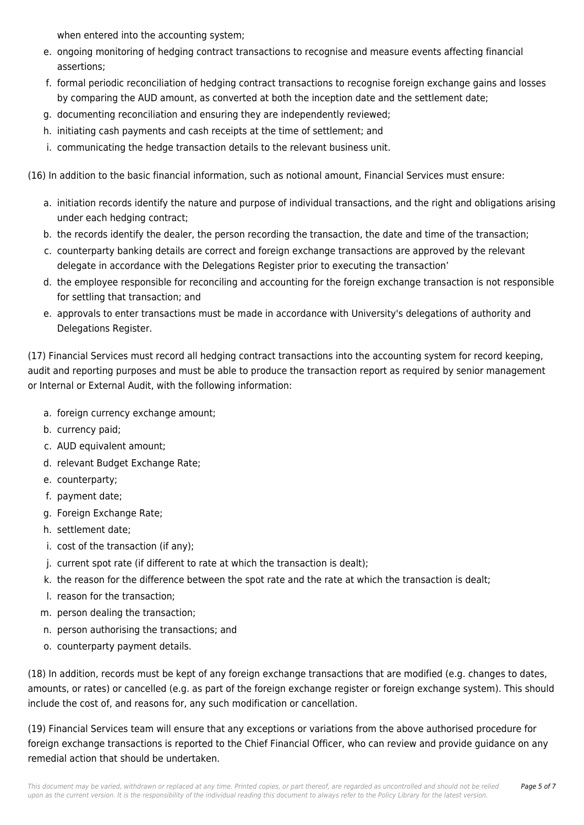when entered into the accounting system;

- e. ongoing monitoring of hedging contract transactions to recognise and measure events affecting financial assertions;
- f. formal periodic reconciliation of hedging contract transactions to recognise foreign exchange gains and losses by comparing the AUD amount, as converted at both the inception date and the settlement date;
- g. documenting reconciliation and ensuring they are independently reviewed;
- h. initiating cash payments and cash receipts at the time of settlement; and
- i. communicating the hedge transaction details to the relevant business unit.

(16) In addition to the basic financial information, such as notional amount, Financial Services must ensure:

- a. initiation records identify the nature and purpose of individual transactions, and the right and obligations arising under each hedging contract;
- b. the records identify the dealer, the person recording the transaction, the date and time of the transaction;
- c. counterparty banking details are correct and foreign exchange transactions are approved by the relevant delegate in accordance with the Delegations Register prior to executing the transaction'
- d. the employee responsible for reconciling and accounting for the foreign exchange transaction is not responsible for settling that transaction; and
- e. approvals to enter transactions must be made in accordance with University's delegations of authority and Delegations Register.

(17) Financial Services must record all hedging contract transactions into the accounting system for record keeping, audit and reporting purposes and must be able to produce the transaction report as required by senior management or Internal or External Audit, with the following information:

- a. foreign currency exchange amount;
- b. currency paid;
- c. AUD equivalent amount;
- d. relevant Budget Exchange Rate;
- e. counterparty;
- f. payment date;
- g. Foreign Exchange Rate;
- h. settlement date;
- i. cost of the transaction (if any);
- j. current spot rate (if different to rate at which the transaction is dealt);
- k. the reason for the difference between the spot rate and the rate at which the transaction is dealt;
- l. reason for the transaction;
- m. person dealing the transaction;
- n. person authorising the transactions; and
- o. counterparty payment details.

(18) In addition, records must be kept of any foreign exchange transactions that are modified (e.g. changes to dates, amounts, or rates) or cancelled (e.g. as part of the foreign exchange register or foreign exchange system). This should include the cost of, and reasons for, any such modification or cancellation.

(19) Financial Services team will ensure that any exceptions or variations from the above authorised procedure for foreign exchange transactions is reported to the Chief Financial Officer, who can review and provide guidance on any remedial action that should be undertaken.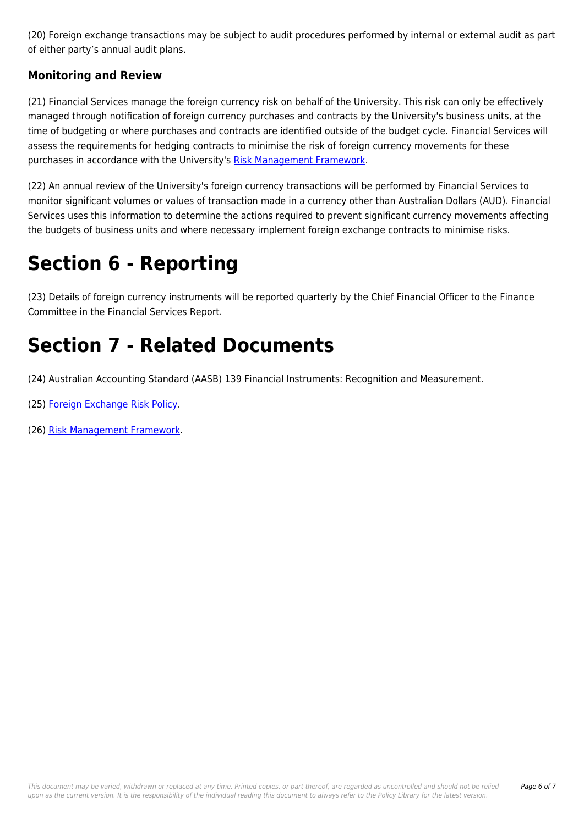(20) Foreign exchange transactions may be subject to audit procedures performed by internal or external audit as part of either party's annual audit plans.

### **Monitoring and Review**

(21) Financial Services manage the foreign currency risk on behalf of the University. This risk can only be effectively managed through notification of foreign currency purchases and contracts by the University's business units, at the time of budgeting or where purchases and contracts are identified outside of the budget cycle. Financial Services will assess the requirements for hedging contracts to minimise the risk of foreign currency movements for these purchases in accordance with the University's [Risk Management Framework](https://policies.newcastle.edu.au/document/view-current.php?id=247).

(22) An annual review of the University's foreign currency transactions will be performed by Financial Services to monitor significant volumes or values of transaction made in a currency other than Australian Dollars (AUD). Financial Services uses this information to determine the actions required to prevent significant currency movements affecting the budgets of business units and where necessary implement foreign exchange contracts to minimise risks.

## **Section 6 - Reporting**

(23) Details of foreign currency instruments will be reported quarterly by the Chief Financial Officer to the Finance Committee in the Financial Services Report.

## **Section 7 - Related Documents**

(24) Australian Accounting Standard (AASB) 139 Financial Instruments: Recognition and Measurement.

- (25) [Foreign Exchange Risk Policy](https://policies.newcastle.edu.au/document/view-current.php?id=323).
- (26) [Risk Management Framework.](https://policies.newcastle.edu.au/document/view-current.php?id=247)